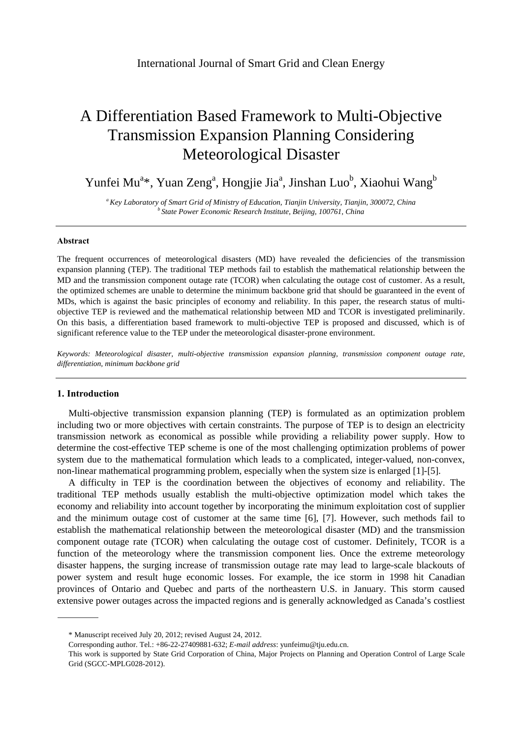# A Differentiation Based Framework to Multi-Objective Transmission Expansion Planning Considering Meteorological Disaster

Yunfei Mu<sup>a\*</sup>, Yuan Zeng<sup>a</sup>, Hongjie Jia<sup>a</sup>, Jinshan Luo<sup>b</sup>, Xiaohui Wang<sup>b</sup>

*a Key Laboratory of Smart Grid of Ministry of Education, Tianjin University, Tianjin, 300072, China b State Power Economic Research Institute, Beijing, 100761, China* 

### **Abstract**

The frequent occurrences of meteorological disasters (MD) have revealed the deficiencies of the transmission expansion planning (TEP). The traditional TEP methods fail to establish the mathematical relationship between the MD and the transmission component outage rate (TCOR) when calculating the outage cost of customer. As a result, the optimized schemes are unable to determine the minimum backbone grid that should be guaranteed in the event of MDs, which is against the basic principles of economy and reliability. In this paper, the research status of multiobjective TEP is reviewed and the mathematical relationship between MD and TCOR is investigated preliminarily. On this basis, a differentiation based framework to multi-objective TEP is proposed and discussed, which is of significant reference value to the TEP under the meteorological disaster-prone environment.

*Keywords: Meteorological disaster, multi-objective transmission expansion planning, transmission component outage rate, differentiation, minimum backbone grid*

#### **1. Introduction**

Multi-objective transmission expansion planning (TEP) is formulated as an optimization problem including two or more objectives with certain constraints. The purpose of TEP is to design an electricity transmission network as economical as possible while providing a reliability power supply. How to determine the cost-effective TEP scheme is one of the most challenging optimization problems of power system due to the mathematical formulation which leads to a complicated, integer-valued, non-convex, non-linear mathematical programming problem, especially when the system size is enlarged [1]-[5].

A difficulty in TEP is the coordination between the objectives of economy and reliability. The traditional TEP methods usually establish the multi-objective optimization model which takes the economy and reliability into account together by incorporating the minimum exploitation cost of supplier and the minimum outage cost of customer at the same time [6], [7]. However, such methods fail to establish the mathematical relationship between the meteorological disaster (MD) and the transmission component outage rate (TCOR) when calculating the outage cost of customer. Definitely, TCOR is a function of the meteorology where the transmission component lies. Once the extreme meteorology disaster happens, the surging increase of transmission outage rate may lead to large-scale blackouts of power system and result huge economic losses. For example, the ice storm in 1998 hit Canadian provinces of Ontario and Quebec and parts of the northeastern U.S. in January. This storm caused extensive power outages across the impacted regions and is generally acknowledged as Canada's costliest

<sup>\*</sup> Manuscript received July 20, 2012; revised August 24, 2012.

Corresponding author. Tel.: +86-22-27409881-632; *E-mail address*: yunfeimu@tju.edu.cn.

This work is supported by State Grid Corporation of China, Major Projects on Planning and Operation Control of Large Scale Grid (SGCC-MPLG028-2012).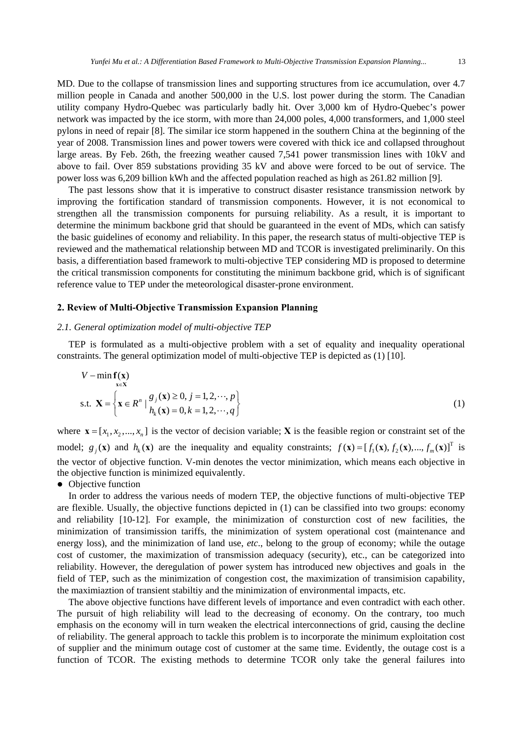MD. Due to the collapse of transmission lines and supporting structures from ice accumulation, over 4.7 million people in Canada and another 500,000 in the U.S. lost power during the storm. The Canadian utility company Hydro-Quebec was particularly badly hit. Over 3,000 km of Hydro-Quebec's power network was impacted by the ice storm, with more than 24,000 poles, 4,000 transformers, and 1,000 steel pylons in need of repair [8]. The similar ice storm happened in the southern China at the beginning of the year of 2008. Transmission lines and power towers were covered with thick ice and collapsed throughout large areas. By Feb. 26th, the freezing weather caused 7,541 power transmission lines with 10kV and above to fail. Over 859 substations providing 35 kV and above were forced to be out of service. The power loss was 6,209 billion kWh and the affected population reached as high as 261.82 million [9].

The past lessons show that it is imperative to construct disaster resistance transmission network by improving the fortification standard of transmission components. However, it is not economical to strengthen all the transmission components for pursuing reliability. As a result, it is important to determine the minimum backbone grid that should be guaranteed in the event of MDs, which can satisfy the basic guidelines of economy and reliability. In this paper, the research status of multi-objective TEP is reviewed and the mathematical relationship between MD and TCOR is investigated preliminarily. On this basis, a differentiation based framework to multi-objective TEP considering MD is proposed to determine the critical transmission components for constituting the minimum backbone grid, which is of significant reference value to TEP under the meteorological disaster-prone environment.

## **2. Review of Multi-Objective Transmission Expansion Planning**

#### *2.1. General optimization model of multi-objective TEP*

TEP is formulated as a multi-objective problem with a set of equality and inequality operational constraints. The general optimization model of multi-objective TEP is depicted as (1) [10].

$$
V - \min_{\mathbf{x} \in \mathbf{X}} \mathbf{f}(\mathbf{x})
$$
  
s.t. 
$$
\mathbf{X} = \left\{ \mathbf{x} \in R^n \mid \frac{g_j(\mathbf{x}) \ge 0, j = 1, 2, \cdots, p}{h_k(\mathbf{x}) = 0, k = 1, 2, \cdots, q} \right\}
$$
 (1)

where  $\mathbf{x} = [x_1, x_2, ..., x_n]$  is the vector of decision variable; **X** is the feasible region or constraint set of the model;  $g_j(\mathbf{x})$  and  $h_k(\mathbf{x})$  are the inequality and equality constraints;  $f(\mathbf{x}) = [f_1(\mathbf{x}), f_2(\mathbf{x}), ..., f_m(\mathbf{x})]^T$  is the vector of objective function. V-min denotes the vector minimization, which means each objective in the objective function is minimized equivalently.

## • Objective function

In order to address the various needs of modern TEP, the objective functions of multi-objective TEP are flexible. Usually, the objective functions depicted in (1) can be classified into two groups: economy and reliability [10-12]. For example, the minimization of consturction cost of new facilities, the minimization of transimission tariffs, the minimization of system operational cost (maintenance and energy loss), and the minimization of land use, *etc*., belong to the group of economy; while the outage cost of customer, the maximization of transmission adequacy (security), etc., can be categorized into reliability. However, the deregulation of power system has introduced new objectives and goals in the field of TEP, such as the minimization of congestion cost, the maximization of transimision capability, the maximiaztion of transient stabiltiy and the minimization of environmental impacts, etc.

The above objective functions have different levels of importance and even contradict with each other. The pursuit of high reliability will lead to the decreasing of economy. On the contrary, too much emphasis on the economy will in turn weaken the electrical interconnections of grid, causing the decline of reliability. The general approach to tackle this problem is to incorporate the minimum exploitation cost of supplier and the minimum outage cost of customer at the same time. Evidently, the outage cost is a function of TCOR. The existing methods to determine TCOR only take the general failures into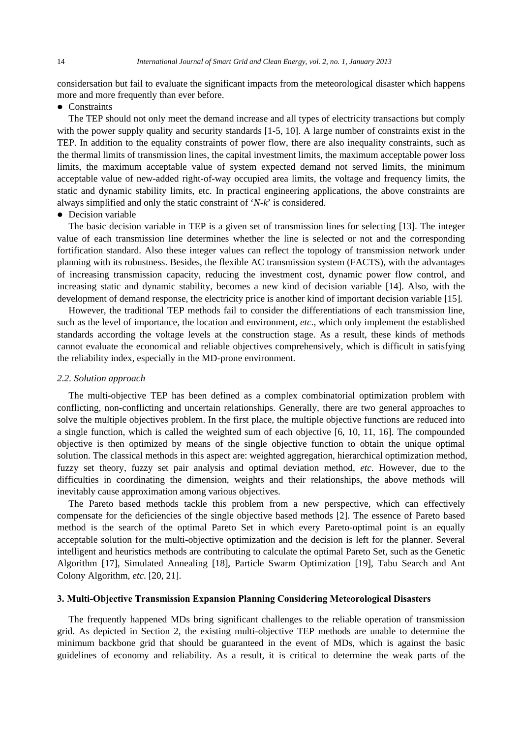considersation but fail to evaluate the significant impacts from the meteorological disaster which happens more and more frequently than ever before.

• Constraints

The TEP should not only meet the demand increase and all types of electricity transactions but comply with the power supply quality and security standards [1-5, 10]. A large number of constraints exist in the TEP. In addition to the equality constraints of power flow, there are also inequality constraints, such as the thermal limits of transmission lines, the capital investment limits, the maximum acceptable power loss limits, the maximum acceptable value of system expected demand not served limits, the minimum acceptable value of new-added right-of-way occupied area limits, the voltage and frequency limits, the static and dynamic stability limits, etc. In practical engineering applications, the above constraints are always simplified and only the static constraint of '*N*-*k*' is considered.

 $\bullet$  Decision variable

The basic decision variable in TEP is a given set of transmission lines for selecting [13]. The integer value of each transmission line determines whether the line is selected or not and the corresponding fortification standard. Also these integer values can reflect the topology of transmission network under planning with its robustness. Besides, the flexible AC transmission system (FACTS), with the advantages of increasing transmission capacity, reducing the investment cost, dynamic power flow control, and increasing static and dynamic stability, becomes a new kind of decision variable [14]. Also, with the development of demand response, the electricity price is another kind of important decision variable [15].

However, the traditional TEP methods fail to consider the differentiations of each transmission line, such as the level of importance, the location and environment, *etc*., which only implement the established standards according the voltage levels at the construction stage. As a result, these kinds of methods cannot evaluate the economical and reliable objectives comprehensively, which is difficult in satisfying the reliability index, especially in the MD-prone environment.

## *2.2. Solution approach*

The multi-objective TEP has been defined as a complex combinatorial optimization problem with conflicting, non-conflicting and uncertain relationships. Generally, there are two general approaches to solve the multiple objectives problem. In the first place, the multiple objective functions are reduced into a single function, which is called the weighted sum of each objective [6, 10, 11, 16]. The compounded objective is then optimized by means of the single objective function to obtain the unique optimal solution. The classical methods in this aspect are: weighted aggregation, hierarchical optimization method, fuzzy set theory, fuzzy set pair analysis and optimal deviation method, *etc*. However, due to the difficulties in coordinating the dimension, weights and their relationships, the above methods will inevitably cause approximation among various objectives.

The Pareto based methods tackle this problem from a new perspective, which can effectively compensate for the deficiencies of the single objective based methods [2]. The essence of Pareto based method is the search of the optimal Pareto Set in which every Pareto-optimal point is an equally acceptable solution for the multi-objective optimization and the decision is left for the planner. Several intelligent and heuristics methods are contributing to calculate the optimal Pareto Set, such as the Genetic Algorithm [17], Simulated Annealing [18], Particle Swarm Optimization [19], Tabu Search and Ant Colony Algorithm, *etc*. [20, 21].

## **3. Multi-Objective Transmission Expansion Planning Considering Meteorological Disasters**

The frequently happened MDs bring significant challenges to the reliable operation of transmission grid. As depicted in Section 2, the existing multi-objective TEP methods are unable to determine the minimum backbone grid that should be guaranteed in the event of MDs, which is against the basic guidelines of economy and reliability. As a result, it is critical to determine the weak parts of the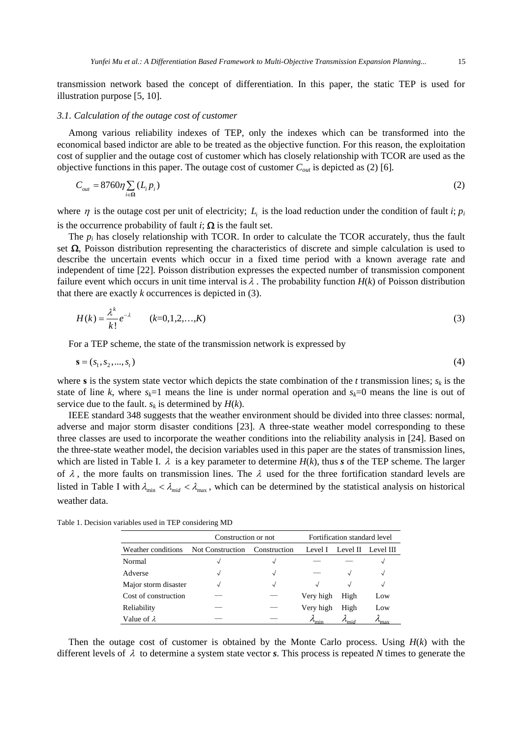transmission network based the concept of differentiation. In this paper, the static TEP is used for illustration purpose [5, 10].

## *3.1. Calculation of the outage cost of customer*

Among various reliability indexes of TEP, only the indexes which can be transformed into the economical based indictor are able to be treated as the objective function. For this reason, the exploitation cost of supplier and the outage cost of customer which has closely relationship with TCOR are used as the objective functions in this paper. The outage cost of customer *Cout* is depicted as (2) [6].

$$
C_{out} = 8760\eta \sum_{i \in \Omega} (L_i p_i)
$$
 (2)

where  $\eta$  is the outage cost per unit of electricity;  $L_i$  is the load reduction under the condition of fault *i*;  $p_i$ is the occurrence probability of fault *i*;  $\Omega$  is the fault set.

The  $p_i$  has closely relationship with TCOR. In order to calculate the TCOR accurately, thus the fault set  $\Omega$ , Poisson distribution representing the characteristics of discrete and simple calculation is used to describe the uncertain events which occur in a fixed time period with a known average rate and independent of time [22]. Poisson distribution expresses the expected number of transmission component failure event which occurs in unit time interval is  $\lambda$ . The probability function  $H(k)$  of Poisson distribution that there are exactly *k* occurrences is depicted in (3).

$$
H(k) = \frac{\lambda^k}{k!} e^{-\lambda} \qquad (k=0,1,2,\ldots,K)
$$
 (3)

For a TEP scheme, the state of the transmission network is expressed by

$$
s = (s_1, s_2, ..., s_t) \tag{4}
$$

where **s** is the system state vector which depicts the state combination of the *t* transmission lines;  $s_k$  is the state of line *k*, where  $s_k=1$  means the line is under normal operation and  $s_k=0$  means the line is out of service due to the fault.  $s_k$  is determined by  $H(k)$ .

IEEE standard 348 suggests that the weather environment should be divided into three classes: normal, adverse and major storm disaster conditions [23]. A three-state weather model corresponding to these three classes are used to incorporate the weather conditions into the reliability analysis in [24]. Based on the three-state weather model, the decision variables used in this paper are the states of transmission lines, which are listed in Table I.  $\lambda$  is a key parameter to determine  $H(k)$ , thus *s* of the TEP scheme. The larger of  $\lambda$ , the more faults on transmission lines. The  $\lambda$  used for the three fortification standard levels are listed in Table I with  $\lambda_{\min} < \lambda_{\text{mid}} < \lambda_{\max}$ , which can be determined by the statistical analysis on historical weather data.

Table 1. Decision variables used in TEP considering MD

|                      | Construction or not |                    | Fortification standard level |               |               |
|----------------------|---------------------|--------------------|------------------------------|---------------|---------------|
| Weather conditions   | Not Construction    | Construction       | Level I                      | Level II      | Level III     |
| Normal               | $\sim$              |                    |                              |               | √             |
| Adverse              | $\sim$              |                    |                              |               | √             |
| Major storm disaster | $\mathbf{\hat{v}}$  | $\rightsquigarrow$ | J                            |               | √             |
| Cost of construction |                     |                    | Very high                    | High          | Low           |
| Reliability          |                     |                    | Very high                    | High          | Low           |
| Value of $\lambda$   |                     |                    | min                          | $\iota_{mid}$ | $v_{\rm max}$ |

Then the outage cost of customer is obtained by the Monte Carlo process. Using *H*(*k*) with the different levels of λ to determine a system state vector *s*. This process is repeated *N* times to generate the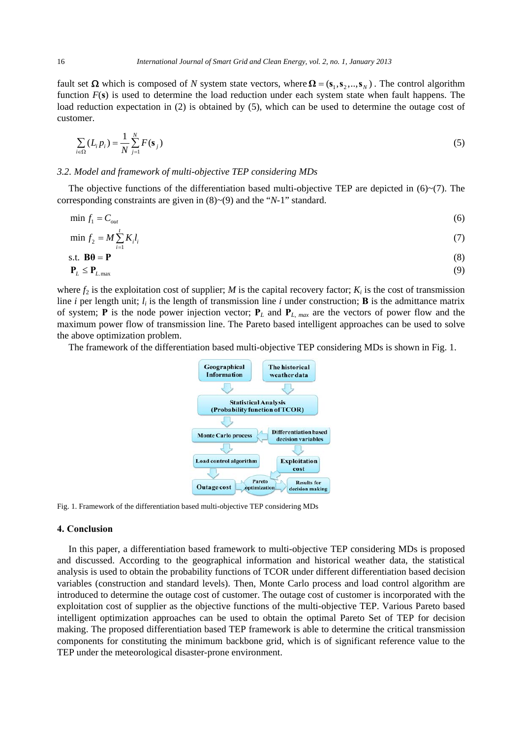fault set  $\Omega$  which is composed of *N* system state vectors, where  $\Omega = (s_1, s_2, ..., s_N)$ . The control algorithm function *F*(**s**) is used to determine the load reduction under each system state when fault happens. The load reduction expectation in (2) is obtained by (5), which can be used to determine the outage cost of customer.

$$
\sum_{i \in \Omega} (L_i p_i) = \frac{1}{N} \sum_{j=1}^{N} F(\mathbf{s}_j)
$$
\n(5)

#### *3.2. Model and framework of multi-objective TEP considering MDs*

The objective functions of the differentiation based multi-objective TEP are depicted in  $(6)~(7)$ . The corresponding constraints are given in (8)~(9) and the "*N*-1" standard.

$$
\min f_1 = C_{out} \tag{6}
$$

$$
\min f_2 = M \sum_{i=1}^t K_i l_i \tag{7}
$$

$$
s.t. \ \mathbf{B}\boldsymbol{\theta} = \mathbf{P} \tag{8}
$$

$$
\mathbf{P}_L \le \mathbf{P}_{L,\text{max}} \tag{9}
$$

where  $f_2$  is the exploitation cost of supplier; *M* is the capital recovery factor;  $K_i$  is the cost of transmission line *i* per length unit;  $l_i$  is the length of transmission line *i* under construction; **B** is the admittance matrix of system; **P** is the node power injection vector;  $P_L$  and  $P_L$ ,  $_{max}$  are the vectors of power flow and the maximum power flow of transmission line. The Pareto based intelligent approaches can be used to solve the above optimization problem.

The framework of the differentiation based multi-objective TEP considering MDs is shown in Fig. 1.



Fig. 1. Framework of the differentiation based multi-objective TEP considering MDs

#### **4. Conclusion**

In this paper, a differentiation based framework to multi-objective TEP considering MDs is proposed and discussed. According to the geographical information and historical weather data, the statistical analysis is used to obtain the probability functions of TCOR under different differentiation based decision variables (construction and standard levels). Then, Monte Carlo process and load control algorithm are introduced to determine the outage cost of customer. The outage cost of customer is incorporated with the exploitation cost of supplier as the objective functions of the multi-objective TEP. Various Pareto based intelligent optimization approaches can be used to obtain the optimal Pareto Set of TEP for decision making. The proposed differentiation based TEP framework is able to determine the critical transmission components for constituting the minimum backbone grid, which is of significant reference value to the TEP under the meteorological disaster-prone environment.